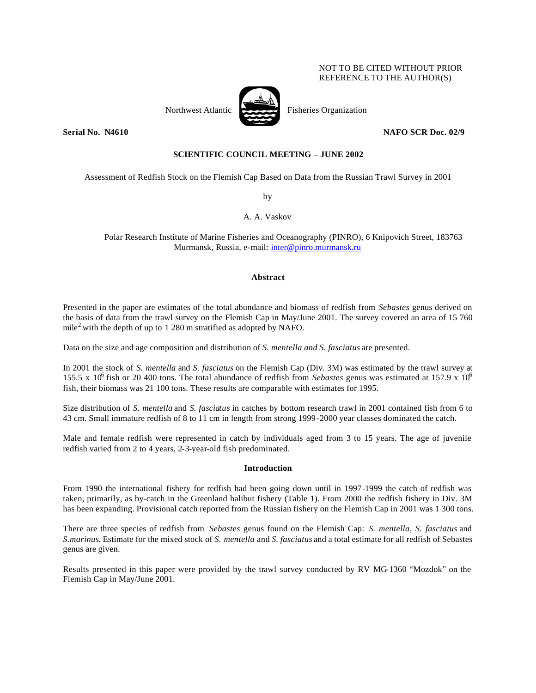## NOT TO BE CITED WITHOUT PRIOR REFERENCE TO THE AUTHOR(S)

Northwest Atlantic  $\overrightarrow{P}$  Fisheries Organization

**Serial No. N4610 NAFO SCR Doc. 02/9**

# **SCIENTIFIC COUNCIL MEETING – JUNE 2002**

Assessment of Redfish Stock on the Flemish Cap Based on Data from the Russian Trawl Survey in 2001

by

A. A. Vaskov

Polar Research Institute of Marine Fisheries and Oceanography (PINRO), 6 Knipovich Street, 183763 Murmansk, Russia, e-mail: inter@pinro.murmansk.ru

#### **Abstract**

Presented in the paper are estimates of the total abundance and biomass of redfish from *Sebastes* genus derived on the basis of data from the trawl survey on the Flemish Cap in May/June 2001. The survey covered an area of 15 760 mile<sup>2</sup> with the depth of up to 1 280 m stratified as adopted by NAFO.

Data on the size and age composition and distribution of *S. mentella and S. fasciatus* are presented.

In 2001 the stock of *S. mentella* and *S. fasciatus* on the Flemish Cap (Div. 3M) was estimated by the trawl survey at 155.5 x 10<sup>6</sup> fish or 20 400 tons. The total abundance of redfish from *Sebastes* genus was estimated at 157.9 x 10<sup>6</sup> fish, their biomass was 21 100 tons. These results are comparable with estimates for 1995.

Size distribution of *S. mentella* and *S. fasciatus* in catches by bottom research trawl in 2001 contained fish from 6 to 43 cm. Small immature redfish of 8 to 11 cm in length from strong 1999-2000 year classes dominated the catch.

Male and female redfish were represented in catch by individuals aged from 3 to 15 years. The age of juvenile redfish varied from 2 to 4 years, 2-3-year-old fish predominated.

#### **Introduction**

From 1990 the international fishery for redfish had been going down until in 1997-1999 the catch of redfish was taken, primarily, as by-catch in the Greenland halibut fishery (Table 1). From 2000 the redfish fishery in Div. 3M has been expanding. Provisional catch reported from the Russian fishery on the Flemish Cap in 2001 was 1 300 tons.

There are three species of redfish from *Sebastes* genus found on the Flemish Cap: *S. mentella, S. fasciatus* and *S.marinus*. Estimate for the mixed stock of *S. mentella* and *S. fasciatus* and a total estimate for all redfish of Sebastes genus are given.

Results presented in this paper were provided by the trawl survey conducted by RV MG-1360 "Mozdok" on the Flemish Cap in May/June 2001.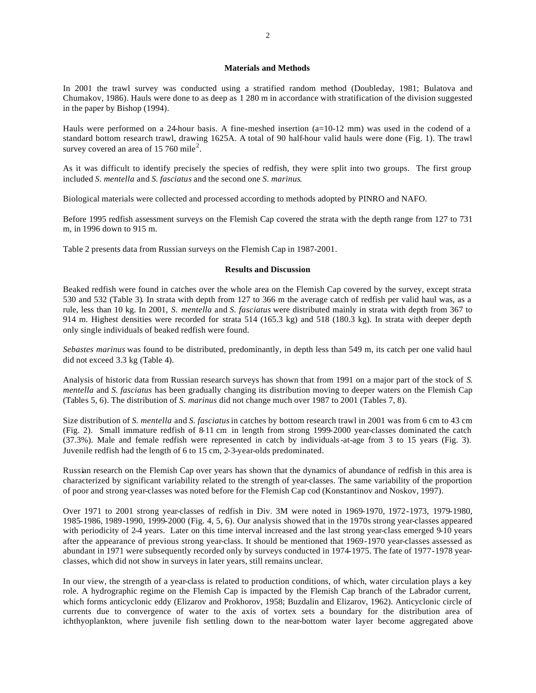### **Materials and Methods**

In 2001 the trawl survey was conducted using a stratified random method (Doubleday, 1981; Bulatova and Chumakov, 1986). Hauls were done to as deep as 1 280 m in accordance with stratification of the division suggested in the paper by Bishop (1994).

Hauls were performed on a 24-hour basis. A fine-meshed insertion (a=10-12 mm) was used in the codend of a standard bottom research trawl, drawing 1625A. A total of 90 half-hour valid hauls were done (Fig. 1). The trawl survey covered an area of 15 760 mile<sup>2</sup>.

As it was difficult to identify precisely the species of redfish, they were split into two groups. The first group included *S. mentella* and *S. fasciatus* and the second one *S. marinus*.

Biological materials were collected and processed according to methods adopted by PINRO and NAFO.

Before 1995 redfish assessment surveys on the Flemish Cap covered the strata with the depth range from 127 to 731 m, in 1996 down to 915 m.

Table 2 presents data from Russian surveys on the Flemish Cap in 1987-2001.

## **Results and Discussion**

Beaked redfish were found in catches over the whole area on the Flemish Cap covered by the survey, except strata 530 and 532 (Table 3). In strata with depth from 127 to 366 m the average catch of redfish per valid haul was, as a rule, less than 10 kg. In 2001, *S. mentella* and *S. fasciatus* were distributed mainly in strata with depth from 367 to 914 m. Highest densities were recorded for strata 514 (165.3 kg) and 518 (180.3 kg). In strata with deeper depth only single individuals of beaked redfish were found.

*Sebastes marinus* was found to be distributed, predominantly, in depth less than 549 m, its catch per one valid haul did not exceed 3.3 kg (Table 4).

Analysis of historic data from Russian research surveys has shown that from 1991 on a major part of the stock of *S. mentella* and *S. fasciatus* has been gradually changing its distribution moving to deeper waters on the Flemish Cap (Tables 5, 6). The distribution of *S. marinus* did not change much over 1987 to 2001 (Tables 7, 8).

Size distribution of *S. mentella* and *S. fasciatus* in catches by bottom research trawl in 2001 was from 6 cm to 43 cm (Fig. 2). Small immature redfish of 8-11 cm in length from strong 1999-2000 year-classes dominated the catch (37.3%). Male and female redfish were represented in catch by individuals-at-age from 3 to 15 years (Fig. 3). Juvenile redfish had the length of 6 to 15 cm, 2-3-year-olds predominated.

Russian research on the Flemish Cap over years has shown that the dynamics of abundance of redfish in this area is characterized by significant variability related to the strength of year-classes. The same variability of the proportion of poor and strong year-classes was noted before for the Flemish Cap cod (Konstantinov and Noskov, 1997).

Over 1971 to 2001 strong year-classes of redfish in Div. 3M were noted in 1969-1970, 1972-1973, 1979-1980, 1985-1986, 1989-1990, 1999-2000 (Fig. 4, 5, 6). Our analysis showed that in the 1970s strong year-classes appeared with periodicity of 2-4 years. Later on this time interval increased and the last strong year-class emerged 9-10 years after the appearance of previous strong year-class. It should be mentioned that 1969-1970 year-classes assessed as abundant in 1971 were subsequently recorded only by surveys conducted in 1974-1975. The fate of 1977-1978 yearclasses, which did not show in surveys in later years, still remains unclear.

In our view, the strength of a year-class is related to production conditions, of which, water circulation plays a key role. A hydrographic regime on the Flemish Cap is impacted by the Flemish Cap branch of the Labrador current, which forms anticyclonic eddy (Elizarov and Prokhorov, 1958; Buzdalin and Elizarov, 1962). Anticyclonic circle of currents due to convergence of water to the axis of vortex sets a boundary for the distribution area of ichthyoplankton, where juvenile fish settling down to the near-bottom water layer become aggregated above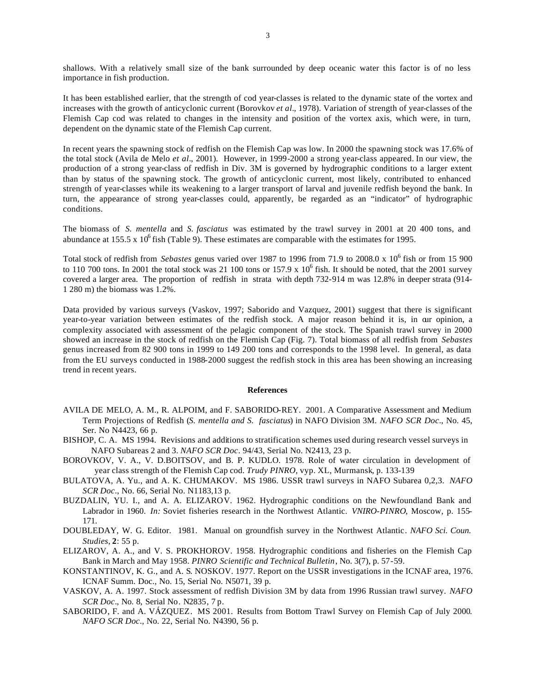shallows. With a relatively small size of the bank surrounded by deep oceanic water this factor is of no less importance in fish production.

It has been established earlier, that the strength of cod year-classes is related to the dynamic state of the vortex and increases with the growth of anticyclonic current (Borovkov *et al.*, 1978). Variation of strength of year-classes of the Flemish Cap cod was related to changes in the intensity and position of the vortex axis, which were, in turn, dependent on the dynamic state of the Flemish Cap current.

In recent years the spawning stock of redfish on the Flemish Cap was low. In 2000 the spawning stock was 17.6% of the total stock (Avila de Melo *et al.*, 2001). However, in 1999-2000 a strong year-class appeared. In our view, the production of a strong year-class of redfish in Div. 3M is governed by hydrographic conditions to a larger extent than by status of the spawning stock. The growth of anticyclonic current, most likely, contributed to enhanced strength of year-classes while its weakening to a larger transport of larval and juvenile redfish beyond the bank. In turn, the appearance of strong year-classes could, apparently, be regarded as an "indicator" of hydrographic conditions.

The biomass of *S. mentella* and *S. fasciatus* was estimated by the trawl survey in 2001 at 20 400 tons, and abundance at 155.5 x 10<sup>6</sup> fish (Table 9). These estimates are comparable with the estimates for 1995.

Total stock of redfish from *Sebastes* genus varied over 1987 to 1996 from 71.9 to 2008.0 x 10<sup>6</sup> fish or from 15 900 to 110 700 tons. In 2001 the total stock was 21 100 tons or 157.9 x  $10^6$  fish. It should be noted, that the 2001 survey covered a larger area. The proportion of redfish in strata with depth 732-914 m was 12.8% in deeper strata (914- 1 280 m) the biomass was 1.2%.

Data provided by various surveys (Vaskov, 1997; Saborido and Vazquez, 2001) suggest that there is significant year-to-year variation between estimates of the redfish stock. A major reason behind it is, in our opinion, a complexity associated with assessment of the pelagic component of the stock. The Spanish trawl survey in 2000 showed an increase in the stock of redfish on the Flemish Cap (Fig. 7). Total biomass of all redfish from *Sebastes* genus increased from 82 900 tons in 1999 to 149 200 tons and corresponds to the 1998 level. In general, as data from the EU surveys conducted in 1988-2000 suggest the redfish stock in this area has been showing an increasing trend in recent years.

#### **References**

- AVILA DE MELO, A. M., R. ALPOIM, and F. SABORIDO-REY. 2001. A Comparative Assessment and Medium Term Projections of Redfish (*S. mentella and S. fasciatus*) in NAFO Division 3M. *NAFO SCR Doc*., No. 45, Ser. No N4423, 66 p.
- BISHOP, C. A. MS 1994. Revisions and additions to stratification schemes used during research vessel surveys in NAFO Subareas 2 and 3. *NAFO SCR Doc*. 94/43, Serial No. N2413, 23 p.
- BOROVKOV, V. A., V. D.BOITSOV, and B. P. KUDLO. 1978. Role of water circulation in development of year class strength of the Flemish Cap cod. *Trudy PINRO,* vyp. XL, Murmansk*,* p. 133-139
- BULATOVA, A. Yu., and A. K. CHUMAKOV. MS 1986. USSR trawl surveys in NAFO Subarea 0,2,3. *NAFO SCR Doc*., No. 66, Serial No. N1183,13 p.
- BUZDALIN, YU. I., and A. A. ELIZAROV. 1962. Hydrographic conditions on the Newfoundland Bank and Labrador in 1960. *In:* Soviet fisheries research in the Northwest Atlantic. *VNIRO-PINRO*, Moscow, p. 155- 171.
- DOUBLEDAY, W. G. Editor. 1981. Manual on groundfish survey in the Northwest Atlantic. *NAFO Sci. Coun. Studies*, **2**: 55 p.
- ELIZAROV, A. A., and V. S. PROKHOROV. 1958. Hydrographic conditions and fisheries on the Flemish Cap Bank in March and May 1958. *PINRO Scientific and Technical Bulletin*, No. 3(7), p. 57-59.
- KONSTANTINOV, K. G., and A. S. NOSKOV. 1977. Report on the USSR investigations in the ICNAF area, 1976. ICNAF Summ. Doc., No. 15, Serial No. N5071, 39 p.
- VASKOV, A. A. 1997. Stock assessment of redfish Division 3M by data from 1996 Russian trawl survey. *NAFO SCR Doc*., No. 8, Serial No. N2835, 7 p.
- SABORIDO, F. and A. VÁZQUEZ. MS 2001. Results from Bottom Trawl Survey on Flemish Cap of July 2000. *NAFO SCR Doc*., No. 22, Serial No. N4390, 56 p.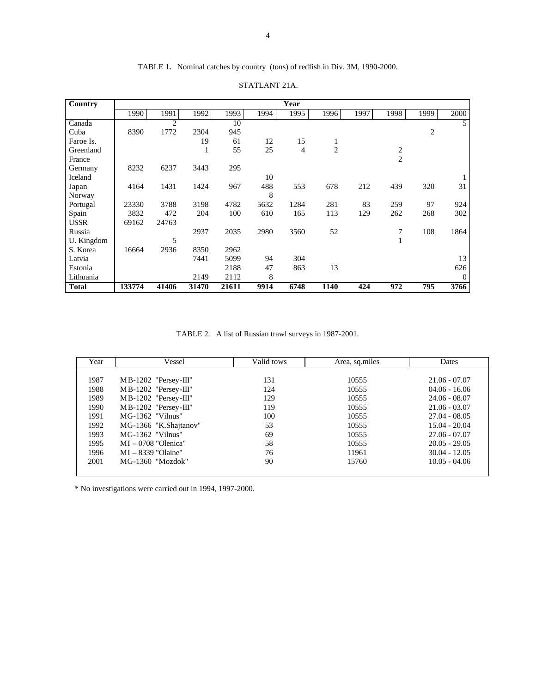# TABLE 1**.** Nominal catches by country (tons) of redfish in Div. 3M, 1990-2000.

| Country      |        | Year  |       |       |      |                |      |      |      |                |          |  |  |  |
|--------------|--------|-------|-------|-------|------|----------------|------|------|------|----------------|----------|--|--|--|
|              | 1990   | 1991  | 1992  | 1993  | 1994 | 1995           | 1996 | 1997 | 1998 | 1999           | 2000     |  |  |  |
| Canada       |        | 2     |       | 10    |      |                |      |      |      |                | 5        |  |  |  |
| Cuba         | 8390   | 1772  | 2304  | 945   |      |                |      |      |      | $\overline{c}$ |          |  |  |  |
| Faroe Is.    |        |       | 19    | 61    | 12   | 15             | 1    |      |      |                |          |  |  |  |
| Greenland    |        |       | 1     | 55    | 25   | $\overline{4}$ | 2    |      | 2    |                |          |  |  |  |
| France       |        |       |       |       |      |                |      |      | 2    |                |          |  |  |  |
| Germany      | 8232   | 6237  | 3443  | 295   |      |                |      |      |      |                |          |  |  |  |
| Iceland      |        |       |       |       | 10   |                |      |      |      |                |          |  |  |  |
| Japan        | 4164   | 1431  | 1424  | 967   | 488  | 553            | 678  | 212  | 439  | 320            | 31       |  |  |  |
| Norway       |        |       |       |       | 8    |                |      |      |      |                |          |  |  |  |
| Portugal     | 23330  | 3788  | 3198  | 4782  | 5632 | 1284           | 281  | 83   | 259  | 97             | 924      |  |  |  |
| Spain        | 3832   | 472   | 204   | 100   | 610  | 165            | 113  | 129  | 262  | 268            | 302      |  |  |  |
| <b>USSR</b>  | 69162  | 24763 |       |       |      |                |      |      |      |                |          |  |  |  |
| Russia       |        |       | 2937  | 2035  | 2980 | 3560           | 52   |      | 7    | 108            | 1864     |  |  |  |
| U. Kingdom   |        | 5     |       |       |      |                |      |      |      |                |          |  |  |  |
| S. Korea     | 16664  | 2936  | 8350  | 2962  |      |                |      |      |      |                |          |  |  |  |
| Latvia       |        |       | 7441  | 5099  | 94   | 304            |      |      |      |                | 13       |  |  |  |
| Estonia      |        |       |       | 2188  | 47   | 863            | 13   |      |      |                | 626      |  |  |  |
| Lithuania    |        |       | 2149  | 2112  | 8    |                |      |      |      |                | $\Omega$ |  |  |  |
| <b>Total</b> | 133774 | 41406 | 31470 | 21611 | 9914 | 6748           | 1140 | 424  | 972  | 795            | 3766     |  |  |  |

### STATLANT 21A.

TABLE 2. A list of Russian trawl surveys in 1987-2001.

| Year | Vessel                 | Valid tows | Area, sq.miles | <b>Dates</b>    |
|------|------------------------|------------|----------------|-----------------|
|      |                        |            |                |                 |
| 1987 | $MB-1202$ "Persey-III" | 131        | 10555          | $21.06 - 07.07$ |
| 1988 | $MB-1202$ "Persey-III" | 124        | 10555          | $04.06 - 16.06$ |
| 1989 | $MB-1202$ "Persey-III" | 129        | 10555          | $24.06 - 08.07$ |
| 1990 | $MB-1202$ "Persey-III" | 119        | 10555          | $21.06 - 03.07$ |
| 1991 | $MG-1362$ "Vilnus"     | 100        | 10555          | $27.04 - 08.05$ |
| 1992 | MG-1366 "K.Shajtanov"  | 53         | 10555          | $15.04 - 20.04$ |
| 1993 | $MG-1362$ "Vilnus"     | 69         | 10555          | $27.06 - 07.07$ |
| 1995 | $MI - 0708$ "Olenica"  | 58         | 10555          | $20.05 - 29.05$ |
| 1996 | $MI - 8339$ "Olaine"   | 76         | 11961          | $30.04 - 12.05$ |
| 2001 | MG-1360 "Mozdok"       | 90         | 15760          | $10.05 - 04.06$ |
|      |                        |            |                |                 |

\* No investigations were carried out in 1994, 1997-2000.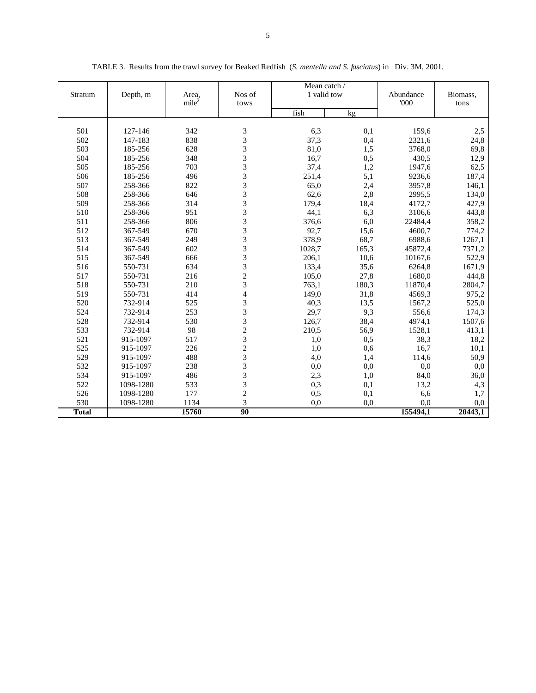| Depth, m<br>Stratum | Area,              | Nos of            | Mean catch /<br>1 valid tow |              | Abundance  | Biomass,         |              |
|---------------------|--------------------|-------------------|-----------------------------|--------------|------------|------------------|--------------|
|                     |                    | mile <sup>2</sup> | tows                        |              |            | 000              | tons         |
|                     |                    |                   |                             | fish         | kg         |                  |              |
|                     |                    |                   |                             |              |            |                  |              |
| 501                 | 127-146<br>147-183 | 342               | 3<br>3                      | 6,3          | 0,1        | 159,6            | 2,5          |
| 502<br>503          | 185-256            | 838<br>628        | 3                           | 37,3<br>81,0 | 0,4<br>1,5 | 2321,6<br>3768,0 | 24,8<br>69,8 |
| 504                 | 185-256            | 348               | 3                           | 16,7         | 0,5        | 430,5            | 12,9         |
| 505                 | 185-256            | 703               | 3                           | 37,4         | 1,2        | 1947,6           | 62,5         |
| 506                 | 185-256            | 496               | 3                           | 251,4        | 5,1        | 9236,6           | 187,4        |
| 507                 | 258-366            | 822               | 3                           | 65,0         | 2,4        | 3957,8           | 146,1        |
| 508                 | 258-366            | 646               | 3                           | 62,6         | 2,8        | 2995,5           | 134,0        |
| 509                 | 258-366            | 314               | 3                           | 179,4        | 18,4       | 4172,7           | 427,9        |
| 510                 | 258-366            | 951               | 3                           | 44,1         | 6,3        | 3106,6           | 443,8        |
| 511                 | 258-366            | 806               | 3                           | 376,6        | 6,0        | 22484,4          | 358,2        |
| 512                 | 367-549            | 670               | 3                           | 92,7         | 15,6       | 4600,7           | 774,2        |
| 513                 | 367-549            | 249               | $\overline{3}$              | 378,9        | 68,7       | 6988,6           | 1267,1       |
| 514                 | 367-549            | 602               | 3                           | 1028,7       | 165,3      | 45872,4          | 7371,2       |
| 515                 | 367-549            | 666               | $\overline{3}$              | 206,1        | 10,6       | 10167,6          | 522,9        |
| 516                 | 550-731            | 634               | 3                           | 133,4        | 35,6       | 6264,8           | 1671,9       |
| 517                 | 550-731            | 216               | $\overline{c}$              | 105,0        | 27,8       | 1680,0           | 444,8        |
| 518                 | 550-731            | 210               | $\overline{3}$              | 763,1        | 180,3      | 11870,4          | 2804,7       |
| 519                 | 550-731            | 414               | $\overline{4}$              | 149,0        | 31,8       | 4569,3           | 975,2        |
| 520                 | 732-914            | 525               | 3                           | 40,3         | 13,5       | 1567,2           | 525,0        |
| 524                 | 732-914            | 253               | $\overline{3}$              | 29,7         | 9,3        | 556,6            | 174,3        |
| 528                 | 732-914            | 530               | 3                           | 126,7        | 38,4       | 4974,1           | 1507,6       |
| 533                 | 732-914            | 98                | $\overline{c}$              | 210,5        | 56,9       | 1528,1           | 413,1        |
| 521                 | 915-1097           | 517               | $\overline{\mathbf{3}}$     | 1,0          | 0,5        | 38,3             | 18,2         |
| 525                 | 915-1097           | 226               | $\overline{c}$              | 1,0          | 0,6        | 16,7             | 10,1         |
| 529                 | 915-1097           | 488               | 3                           | 4,0          | 1,4        | 114,6            | 50,9         |
| 532                 | 915-1097           | 238               | 3                           | 0,0          | 0,0        | 0,0              | 0,0          |
| 534                 | 915-1097           | 486               | 3                           | 2,3          | 1,0        | 84,0             | 36,0         |
| 522                 | 1098-1280          | 533               | 3                           | 0,3          | 0,1        | 13,2             | 4,3          |
| 526                 | 1098-1280          | 177               | $\overline{c}$              | 0,5          | 0,1        | 6,6              | 1,7          |
| 530                 | 1098-1280          | 1134              | 3                           | 0,0          | 0.0        | 0,0              | 0.0          |
| <b>Total</b>        |                    | 15760             | 90                          |              |            | 155494,1         | 20443.1      |

TABLE 3. Results from the trawl survey for Beaked Redfish (*S. mentella and S. fasciatus*) in Div. 3M, 2001.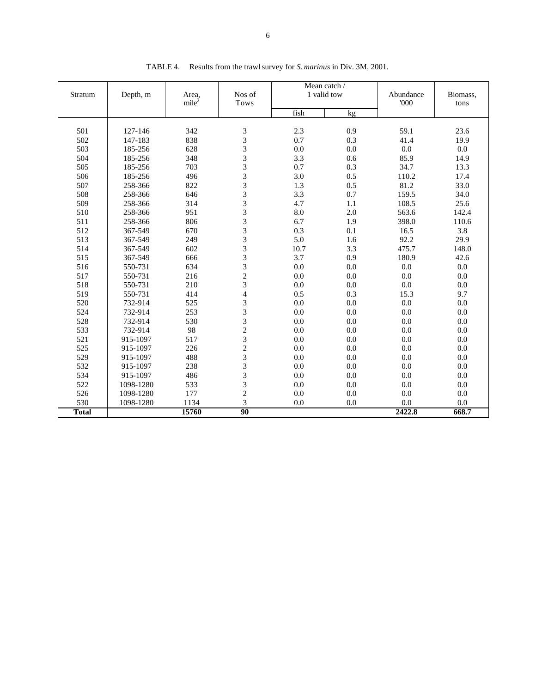| Stratum      | Depth, m  | Area,<br>mile <sup>2</sup> | Nos of<br>Tows          | Mean catch /<br>1 valid tow | Abundance<br>'000 | Biomass.<br>tons |         |
|--------------|-----------|----------------------------|-------------------------|-----------------------------|-------------------|------------------|---------|
|              |           |                            |                         | fish                        | kg                |                  |         |
| 501          | 127-146   | 342                        |                         | 2.3                         | 0.9               | 59.1             | 23.6    |
| 502          | 147-183   | 838                        | 3                       | 0.7                         | 0.3               | 41.4             | 19.9    |
| 503          | 185-256   | 628                        | $\frac{3}{3}$           | 0.0                         | 0.0               | 0.0              | 0.0     |
| 504          | 185-256   | 348                        | 3                       | 3.3                         | 0.6               | 85.9             | 14.9    |
| 505          | 185-256   | 703                        | $\overline{3}$          | 0.7                         | 0.3               | 34.7             | 13.3    |
| 506          | 185-256   | 496                        | 3                       | 3.0                         | 0.5               | 110.2            | 17.4    |
| 507          | 258-366   | 822                        | 3                       | 1.3                         | 0.5               | 81.2             | 33.0    |
| 508          | 258-366   | 646                        | $\overline{\mathbf{3}}$ | 3.3                         | 0.7               | 159.5            | 34.0    |
| 509          | 258-366   | 314                        | $\overline{3}$          | 4.7                         | 1.1               | 108.5            | 25.6    |
| 510          | 258-366   | 951                        | 3                       | 8.0                         | 2.0               | 563.6            | 142.4   |
| 511          | 258-366   | 806                        | 3                       | 6.7                         | 1.9               | 398.0            | 110.6   |
| 512          | 367-549   | 670                        |                         | 0.3                         | 0.1               | 16.5             | 3.8     |
| 513          | 367-549   | 249                        | $\frac{3}{3}$           | 5.0                         | 1.6               | 92.2             | 29.9    |
| 514          | 367-549   | 602                        | 3                       | 10.7                        | 3.3               | 475.7            | 148.0   |
| 515          | 367-549   | 666                        | 3                       | 3.7                         | 0.9               | 180.9            | 42.6    |
| 516          | 550-731   | 634                        | 3                       | 0.0                         | 0.0               | 0.0              | $0.0\,$ |
| 517          | 550-731   | 216                        | $\overline{c}$          | 0.0                         | 0.0               | 0.0              | 0.0     |
| 518          | 550-731   | 210                        | $\overline{3}$          | 0.0                         | 0.0               | 0.0              | 0.0     |
| 519          | 550-731   | 414                        | $\overline{\mathbf{4}}$ | 0.5                         | 0.3               | 15.3             | 9.7     |
| 520          | 732-914   | 525                        | 3                       | 0.0                         | 0.0               | 0.0              | 0.0     |
| 524          | 732-914   | 253                        | 3                       | 0.0                         | 0.0               | 0.0              | $0.0\,$ |
| 528          | 732-914   | 530                        | 3                       | 0.0                         | 0.0               | 0.0              | 0.0     |
| 533          | 732-914   | 98                         | $\overline{c}$          | 0.0                         | 0.0               | 0.0              | 0.0     |
| 521          | 915-1097  | 517                        | 3                       | 0.0                         | 0.0               | 0.0              | 0.0     |
| 525          | 915-1097  | 226                        | $\overline{c}$          | 0.0                         | 0.0               | 0.0              | 0.0     |
| 529          | 915-1097  | 488                        | 3                       | 0.0                         | 0.0               | 0.0              | 0.0     |
| 532          | 915-1097  | 238                        | $\overline{3}$          | 0.0                         | 0.0               | 0.0              | 0.0     |
| 534          | 915-1097  | 486                        | 3                       | 0.0                         | 0.0               | 0.0              | 0.0     |
| 522          | 1098-1280 | 533                        | 3                       | 0.0                         | 0.0               | 0.0              | 0.0     |
| 526          | 1098-1280 | 177                        | $\overline{c}$          | 0.0                         | 0.0               | 0.0              | $0.0\,$ |
| 530          | 1098-1280 | 1134                       | 3                       | 0.0                         | 0.0               | 0.0              | 0.0     |
| <b>Total</b> |           | 15760                      | $\overline{90}$         |                             |                   | 2422.8           | 668.7   |

TABLE 4. Results from the trawl survey for *S. marinus* in Div. 3M, 2001.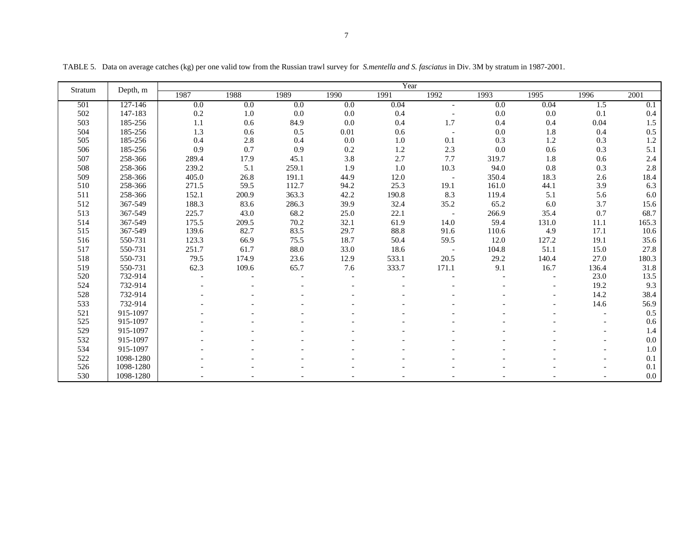|         | Depth, m  |         |       |       |         | Year     |                          |       |       |       |         |
|---------|-----------|---------|-------|-------|---------|----------|--------------------------|-------|-------|-------|---------|
| Stratum |           | 1987    | 1988  | 1989  | 1990    | 1991     | 1992                     | 1993  | 1995  | 1996  | 2001    |
| 501     | 127-146   | 0.0     | 0.0   | 0.0   | 0.0     | 0.04     |                          | 0.0   | 0.04  | 1.5   | 0.1     |
| 502     | 147-183   | $0.2\,$ | 1.0   | 0.0   | $0.0\,$ | 0.4      |                          | 0.0   | 0.0   | 0.1   | 0.4     |
| 503     | 185-256   | 1.1     | 0.6   | 84.9  | $0.0\,$ | 0.4      | 1.7                      | 0.4   | 0.4   | 0.04  | 1.5     |
| 504     | 185-256   | 1.3     | 0.6   | 0.5   | 0.01    | 0.6      | $\overline{\phantom{a}}$ | 0.0   | 1.8   | 0.4   | $0.5\,$ |
| 505     | 185-256   | 0.4     | 2.8   | 0.4   | $0.0\,$ | $1.0\,$  | 0.1                      | 0.3   | 1.2   | 0.3   | 1.2     |
| 506     | 185-256   | 0.9     | 0.7   | 0.9   | 0.2     | 1.2      | 2.3                      | 0.0   | 0.6   | 0.3   | 5.1     |
| 507     | 258-366   | 289.4   | 17.9  | 45.1  | 3.8     | 2.7      | 7.7                      | 319.7 | 1.8   | 0.6   | 2.4     |
| 508     | 258-366   | 239.2   | 5.1   | 259.1 | 1.9     | $1.0\,$  | 10.3                     | 94.0  | 0.8   | 0.3   | 2.8     |
| 509     | 258-366   | 405.0   | 26.8  | 191.1 | 44.9    | 12.0     | $\overline{\phantom{a}}$ | 350.4 | 18.3  | 2.6   | 18.4    |
| 510     | 258-366   | 271.5   | 59.5  | 112.7 | 94.2    | 25.3     | 19.1                     | 161.0 | 44.1  | 3.9   | 6.3     |
| 511     | 258-366   | 152.1   | 200.9 | 363.3 | 42.2    | 190.8    | 8.3                      | 119.4 | 5.1   | 5.6   | 6.0     |
| 512     | 367-549   | 188.3   | 83.6  | 286.3 | 39.9    | 32.4     | 35.2                     | 65.2  | 6.0   | 3.7   | 15.6    |
| 513     | 367-549   | 225.7   | 43.0  | 68.2  | 25.0    | 22.1     | $\sim$ $\sim$            | 266.9 | 35.4  | 0.7   | 68.7    |
| 514     | 367-549   | 175.5   | 209.5 | 70.2  | 32.1    | 61.9     | 14.0                     | 59.4  | 131.0 | 11.1  | 165.3   |
| 515     | 367-549   | 139.6   | 82.7  | 83.5  | 29.7    | $88.8\,$ | 91.6                     | 110.6 | 4.9   | 17.1  | 10.6    |
| 516     | 550-731   | 123.3   | 66.9  | 75.5  | 18.7    | 50.4     | 59.5                     | 12.0  | 127.2 | 19.1  | 35.6    |
| 517     | 550-731   | 251.7   | 61.7  | 88.0  | 33.0    | 18.6     | $\overline{\phantom{a}}$ | 104.8 | 51.1  | 15.0  | 27.8    |
| 518     | 550-731   | 79.5    | 174.9 | 23.6  | 12.9    | 533.1    | 20.5                     | 29.2  | 140.4 | 27.0  | 180.3   |
| 519     | 550-731   | 62.3    | 109.6 | 65.7  | 7.6     | 333.7    | 171.1                    | 9.1   | 16.7  | 136.4 | 31.8    |
| 520     | 732-914   |         |       |       |         |          |                          |       |       | 23.0  | 13.5    |
| 524     | 732-914   |         |       |       |         |          |                          |       |       | 19.2  | 9.3     |
| 528     | 732-914   |         |       |       |         |          |                          |       |       | 14.2  | 38.4    |
| 533     | 732-914   |         |       |       |         |          |                          |       |       | 14.6  | 56.9    |
| 521     | 915-1097  |         |       |       |         |          |                          |       |       |       | 0.5     |
| 525     | 915-1097  |         |       |       |         |          |                          |       |       |       | 0.6     |
| 529     | 915-1097  |         |       |       |         |          |                          |       |       |       | 1.4     |
| 532     | 915-1097  |         |       |       |         |          |                          |       |       |       | $0.0\,$ |
| 534     | 915-1097  |         |       |       |         |          |                          |       |       |       | 1.0     |
| 522     | 1098-1280 |         |       |       |         |          |                          |       |       |       | 0.1     |
| 526     | 1098-1280 |         |       |       |         |          |                          |       |       |       | 0.1     |
| 530     | 1098-1280 |         |       |       |         |          |                          |       |       |       | $0.0\,$ |

TABLE 5. Data on average catches (kg) per one valid tow from the Russian trawl survey for *S.mentella and S. fasciatus* in Div. 3M by stratum in 1987-2001.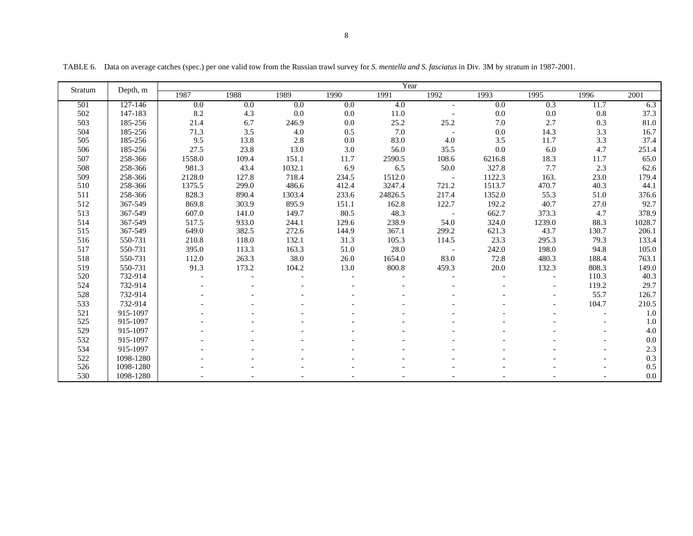| Stratum | Depth, m  | Year   |       |         |         |          |        |        |                          |       |         |  |  |  |
|---------|-----------|--------|-------|---------|---------|----------|--------|--------|--------------------------|-------|---------|--|--|--|
|         |           | 1987   | 1988  | 1989    | 1990    | 1991     | 1992   | 1993   | 1995                     | 1996  | 2001    |  |  |  |
| 501     | 127-146   | 0.0    | 0.0   | 0.0     | 0.0     | 4.0      | $-$    | 0.0    | 0.3                      | 11.7  | 6.3     |  |  |  |
| 502     | 147-183   | 8.2    | 4.3   | $0.0\,$ | $0.0\,$ | $11.0\,$ |        | 0.0    | 0.0                      | 0.8   | 37.3    |  |  |  |
| 503     | 185-256   | 21.4   | 6.7   | 246.9   | 0.0     | 25.2     | 25.2   | 7.0    | 2.7                      | 0.3   | 81.0    |  |  |  |
| 504     | 185-256   | 71.3   | 3.5   | 4.0     | 0.5     | 7.0      |        | 0.0    | 14.3                     | 3.3   | 16.7    |  |  |  |
| 505     | 185-256   | 9.5    | 13.8  | 2.8     | 0.0     | 83.0     | 4.0    | 3.5    | 11.7                     | 3.3   | 37.4    |  |  |  |
| 506     | 185-256   | 27.5   | 23.8  | 13.0    | 3.0     | 56.0     | 35.5   | 0.0    | 6.0                      | 4.7   | 251.4   |  |  |  |
| 507     | 258-366   | 1558.0 | 109.4 | 151.1   | 11.7    | 2590.5   | 108.6  | 6216.8 | 18.3                     | 11.7  | 65.0    |  |  |  |
| 508     | 258-366   | 981.3  | 43.4  | 1032.1  | 6.9     | 6.5      | 50.0   | 327.8  | 7.7                      | 2.3   | 62.6    |  |  |  |
| 509     | 258-366   | 2128.0 | 127.8 | 718.4   | 234.5   | 1512.0   |        | 1122.3 | 163.                     | 23.0  | 179.4   |  |  |  |
| 510     | 258-366   | 1375.5 | 299.0 | 486.6   | 412.4   | 3247.4   | 721.2  | 1513.7 | 470.7                    | 40.3  | 44.1    |  |  |  |
| 511     | 258-366   | 828.3  | 890.4 | 1303.4  | 233.6   | 24826.5  | 217.4  | 1352.0 | 55.3                     | 51.0  | 376.6   |  |  |  |
| 512     | 367-549   | 869.8  | 303.9 | 895.9   | 151.1   | 162.8    | 122.7  | 192.2  | 40.7                     | 27.0  | 92.7    |  |  |  |
| 513     | 367-549   | 607.0  | 141.0 | 149.7   | 80.5    | 48.3     | $\sim$ | 662.7  | 373.3                    | 4.7   | 378.9   |  |  |  |
| 514     | 367-549   | 517.5  | 933.0 | 244.1   | 129.6   | 238.9    | 54.0   | 324.0  | 1239.0                   | 88.3  | 1028.7  |  |  |  |
| 515     | 367-549   | 649.0  | 382.5 | 272.6   | 144.9   | 367.1    | 299.2  | 621.3  | 43.7                     | 130.7 | 206.1   |  |  |  |
| 516     | 550-731   | 210.8  | 118.0 | 132.1   | 31.3    | 105.3    | 114.5  | 23.3   | 295.3                    | 79.3  | 133.4   |  |  |  |
| 517     | 550-731   | 395.0  | 113.3 | 163.3   | 51.0    | 28.0     |        | 242.0  | 198.0                    | 94.8  | 105.0   |  |  |  |
| 518     | 550-731   | 112.0  | 263.3 | 38.0    | 26.0    | 1654.0   | 83.0   | 72.8   | 480.3                    | 188.4 | 763.1   |  |  |  |
| 519     | 550-731   | 91.3   | 173.2 | 104.2   | 13.0    | 800.8    | 459.3  | 20.0   | 132.3                    | 808.3 | 149.0   |  |  |  |
| 520     | 732-914   |        |       |         |         |          |        |        |                          | 110.3 | 40.3    |  |  |  |
| 524     | 732-914   |        |       |         |         |          |        |        | $\overline{\phantom{a}}$ | 119.2 | 29.7    |  |  |  |
| 528     | 732-914   |        |       |         |         |          |        |        |                          | 55.7  | 126.7   |  |  |  |
| 533     | 732-914   |        |       |         |         |          |        |        |                          | 104.7 | 210.5   |  |  |  |
| 521     | 915-1097  |        |       |         |         |          |        |        |                          |       | 1.0     |  |  |  |
| 525     | 915-1097  |        |       |         |         |          |        |        |                          |       | 1.0     |  |  |  |
| 529     | 915-1097  |        |       |         |         |          |        |        |                          |       | 4.0     |  |  |  |
| 532     | 915-1097  |        |       |         |         |          |        |        |                          |       | $0.0\,$ |  |  |  |
| 534     | 915-1097  |        |       |         |         |          |        |        |                          |       | 2.3     |  |  |  |
| 522     | 1098-1280 |        |       |         |         |          |        |        |                          |       | 0.3     |  |  |  |
| 526     | 1098-1280 |        |       |         |         |          |        |        |                          |       | 0.5     |  |  |  |
| 530     | 1098-1280 |        |       |         |         |          |        |        |                          |       | 0.0     |  |  |  |

TABLE 6. Data on average catches (spec.) per one valid tow from the Russian trawl survey for *S. mentella and S. fasciatus* in Div. 3M by stratum in 1987-2001.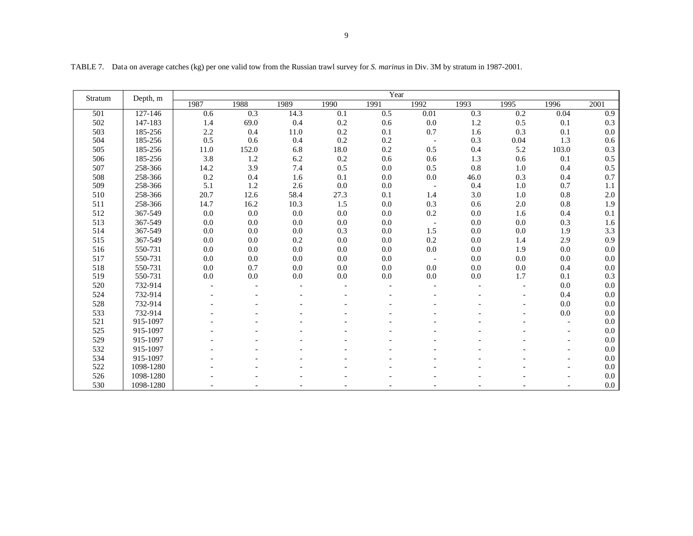|         |           |      |       |      |      | Year |                          |      |         |         |      |
|---------|-----------|------|-------|------|------|------|--------------------------|------|---------|---------|------|
| Stratum | Depth, m  | 1987 | 1988  | 1989 | 1990 | 1991 | 1992                     | 1993 | 1995    | 1996    | 2001 |
| 501     | 127-146   | 0.6  | 0.3   | 14.3 | 0.1  | 0.5  | 0.01                     | 0.3  | 0.2     | 0.04    | 0.9  |
| 502     | 147-183   | 1.4  | 69.0  | 0.4  | 0.2  | 0.6  | 0.0                      | 1.2  | 0.5     | 0.1     | 0.3  |
| 503     | 185-256   | 2.2  | 0.4   | 11.0 | 0.2  | 0.1  | 0.7                      | 1.6  | 0.3     | 0.1     | 0.0  |
| 504     | 185-256   | 0.5  | 0.6   | 0.4  | 0.2  | 0.2  |                          | 0.3  | 0.04    | 1.3     | 0.6  |
| 505     | 185-256   | 11.0 | 152.0 | 6.8  | 18.0 | 0.2  | 0.5                      | 0.4  | 5.2     | 103.0   | 0.3  |
| 506     | 185-256   | 3.8  | 1.2   | 6.2  | 0.2  | 0.6  | 0.6                      | 1.3  | 0.6     | 0.1     | 0.5  |
| 507     | 258-366   | 14.2 | 3.9   | 7.4  | 0.5  | 0.0  | 0.5                      | 0.8  | 1.0     | 0.4     | 0.5  |
| 508     | 258-366   | 0.2  | 0.4   | 1.6  | 0.1  | 0.0  | 0.0                      | 46.0 | 0.3     | 0.4     | 0.7  |
| 509     | 258-366   | 5.1  | 1.2   | 2.6  | 0.0  | 0.0  | $\overline{\phantom{a}}$ | 0.4  | $1.0\,$ | 0.7     | 1.1  |
| 510     | 258-366   | 20.7 | 12.6  | 58.4 | 27.3 | 0.1  | 1.4                      | 3.0  | 1.0     | 0.8     | 2.0  |
| 511     | 258-366   | 14.7 | 16.2  | 10.3 | 1.5  | 0.0  | 0.3                      | 0.6  | 2.0     | $0.8\,$ | 1.9  |
| 512     | 367-549   | 0.0  | 0.0   | 0.0  | 0.0  | 0.0  | 0.2                      | 0.0  | 1.6     | 0.4     | 0.1  |
| 513     | 367-549   | 0.0  | 0.0   | 0.0  | 0.0  | 0.0  | $\overline{\phantom{a}}$ | 0.0  | 0.0     | 0.3     | 1.6  |
| 514     | 367-549   | 0.0  | 0.0   | 0.0  | 0.3  | 0.0  | 1.5                      | 0.0  | 0.0     | 1.9     | 3.3  |
| 515     | 367-549   | 0.0  | 0.0   | 0.2  | 0.0  | 0.0  | 0.2                      | 0.0  | 1.4     | 2.9     | 0.9  |
| 516     | 550-731   | 0.0  | 0.0   | 0.0  | 0.0  | 0.0  | 0.0                      | 0.0  | 1.9     | 0.0     | 0.0  |
| 517     | 550-731   | 0.0  | 0.0   | 0.0  | 0.0  | 0.0  | $\overline{\phantom{a}}$ | 0.0  | 0.0     | 0.0     | 0.0  |
| 518     | 550-731   | 0.0  | 0.7   | 0.0  | 0.0  | 0.0  | 0.0                      | 0.0  | 0.0     | 0.4     | 0.0  |
| 519     | 550-731   | 0.0  | 0.0   | 0.0  | 0.0  | 0.0  | 0.0                      | 0.0  | 1.7     | 0.1     | 0.3  |
| 520     | 732-914   |      |       |      |      |      |                          |      |         | 0.0     | 0.0  |
| 524     | 732-914   |      |       |      |      |      |                          |      |         | 0.4     | 0.0  |
| 528     | 732-914   |      |       |      |      |      |                          |      |         | 0.0     | 0.0  |
| 533     | 732-914   |      |       |      |      |      |                          |      |         | 0.0     | 0.0  |
| 521     | 915-1097  |      |       |      |      |      |                          |      |         |         | 0.0  |
| 525     | 915-1097  |      |       |      |      |      |                          |      |         |         | 0.0  |
| 529     | 915-1097  |      |       |      |      |      |                          |      |         |         | 0.0  |
| 532     | 915-1097  |      |       |      |      |      |                          |      |         |         | 0.0  |
| 534     | 915-1097  |      |       |      |      |      |                          |      |         |         | 0.0  |
| 522     | 1098-1280 |      |       |      |      |      |                          |      |         |         | 0.0  |
| 526     | 1098-1280 |      |       |      |      |      |                          |      |         |         | 0.0  |
| 530     | 1098-1280 |      |       |      |      |      |                          |      |         |         | 0.0  |

TABLE 7. Data on average catches (kg) per one valid tow from the Russian trawl survey for *S. marinus* in Div. 3M by stratum in 1987-2001.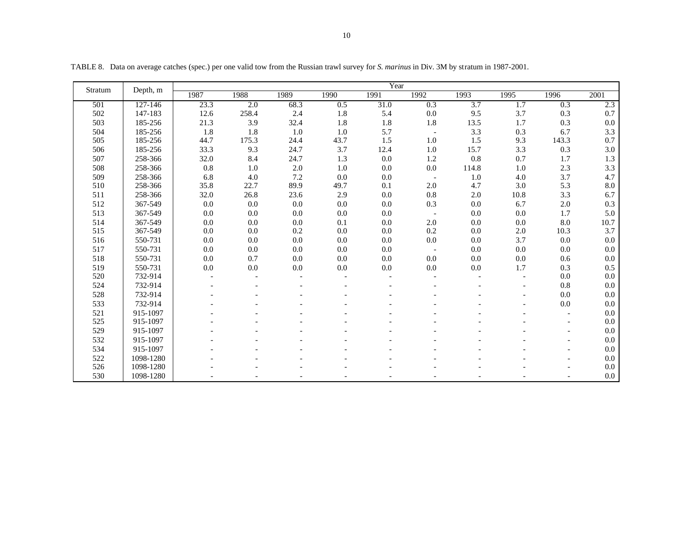|         |             |      |       |         |         | Year |                          |         |      |         |         |
|---------|-------------|------|-------|---------|---------|------|--------------------------|---------|------|---------|---------|
| Stratum | Depth, m    | 1987 | 1988  | 1989    | 1990    | 1991 | 1992                     | 1993    | 1995 | 1996    | 2001    |
| 501     | $127 - 146$ | 23.3 | 2.0   | 68.3    | 0.5     | 31.0 | 0.3                      | 3.7     | 1.7  | 0.3     | 2.3     |
| 502     | 147-183     | 12.6 | 258.4 | 2.4     | 1.8     | 5.4  | 0.0                      | 9.5     | 3.7  | 0.3     | 0.7     |
| 503     | 185-256     | 21.3 | 3.9   | 32.4    | 1.8     | 1.8  | 1.8                      | 13.5    | 1.7  | 0.3     | 0.0     |
| 504     | 185-256     | 1.8  | 1.8   | 1.0     | 1.0     | 5.7  | $\overline{\phantom{a}}$ | 3.3     | 0.3  | 6.7     | 3.3     |
| 505     | 185-256     | 44.7 | 175.3 | 24.4    | 43.7    | 1.5  | 1.0                      | 1.5     | 9.3  | 143.3   | 0.7     |
| 506     | 185-256     | 33.3 | 9.3   | 24.7    | 3.7     | 12.4 | 1.0                      | 15.7    | 3.3  | 0.3     | 3.0     |
| 507     | 258-366     | 32.0 | 8.4   | 24.7    | 1.3     | 0.0  | 1.2                      | 0.8     | 0.7  | 1.7     | 1.3     |
| 508     | 258-366     | 0.8  | 1.0   | 2.0     | 1.0     | 0.0  | 0.0                      | 114.8   | 1.0  | 2.3     | 3.3     |
| 509     | 258-366     | 6.8  | 4.0   | 7.2     | 0.0     | 0.0  | $\overline{\phantom{a}}$ | 1.0     | 4.0  | 3.7     | 4.7     |
| 510     | 258-366     | 35.8 | 22.7  | 89.9    | 49.7    | 0.1  | 2.0                      | 4.7     | 3.0  | 5.3     | 8.0     |
| 511     | 258-366     | 32.0 | 26.8  | 23.6    | 2.9     | 0.0  | $0.8\,$                  | $2.0\,$ | 10.8 | 3.3     | 6.7     |
| 512     | 367-549     | 0.0  | 0.0   | $0.0\,$ | $0.0\,$ | 0.0  | 0.3                      | 0.0     | 6.7  | $2.0\,$ | 0.3     |
| 513     | 367-549     | 0.0  | 0.0   | 0.0     | 0.0     | 0.0  | $\overline{\phantom{a}}$ | 0.0     | 0.0  | 1.7     | 5.0     |
| 514     | 367-549     | 0.0  | 0.0   | 0.0     | 0.1     | 0.0  | 2.0                      | 0.0     | 0.0  | 8.0     | 10.7    |
| 515     | 367-549     | 0.0  | 0.0   | 0.2     | 0.0     | 0.0  | 0.2                      | 0.0     | 2.0  | 10.3    | 3.7     |
| 516     | 550-731     | 0.0  | 0.0   | 0.0     | 0.0     | 0.0  | 0.0                      | 0.0     | 3.7  | 0.0     | 0.0     |
| 517     | 550-731     | 0.0  | 0.0   | 0.0     | 0.0     | 0.0  | $\overline{\phantom{a}}$ | 0.0     | 0.0  | 0.0     | 0.0     |
| 518     | 550-731     | 0.0  | 0.7   | 0.0     | 0.0     | 0.0  | 0.0                      | 0.0     | 0.0  | 0.6     | 0.0     |
| 519     | 550-731     | 0.0  | 0.0   | 0.0     | 0.0     | 0.0  | 0.0                      | 0.0     | 1.7  | 0.3     | 0.5     |
| 520     | 732-914     |      |       |         |         |      |                          |         |      | 0.0     | 0.0     |
| 524     | 732-914     |      |       |         |         |      |                          |         |      | $0.8\,$ | 0.0     |
| 528     | 732-914     |      |       |         |         |      |                          |         |      | 0.0     | 0.0     |
| 533     | 732-914     |      |       |         |         |      |                          |         |      | 0.0     | 0.0     |
| 521     | 915-1097    |      |       |         |         |      |                          |         |      |         | 0.0     |
| 525     | 915-1097    |      |       |         |         |      |                          |         |      |         | 0.0     |
| 529     | 915-1097    |      |       |         |         |      |                          |         |      |         | 0.0     |
| 532     | 915-1097    |      |       |         |         |      |                          |         |      |         | 0.0     |
| 534     | 915-1097    |      |       |         |         |      |                          |         |      |         | 0.0     |
| 522     | 1098-1280   |      |       |         |         |      |                          |         |      |         | 0.0     |
| 526     | 1098-1280   |      |       |         |         |      |                          |         |      |         | 0.0     |
| 530     | 1098-1280   |      |       |         |         |      |                          |         |      |         | $0.0\,$ |

TABLE 8. Data on average catches (spec.) per one valid tow from the Russian trawl survey for *S. marinus* in Div. 3M by stratum in 1987-2001.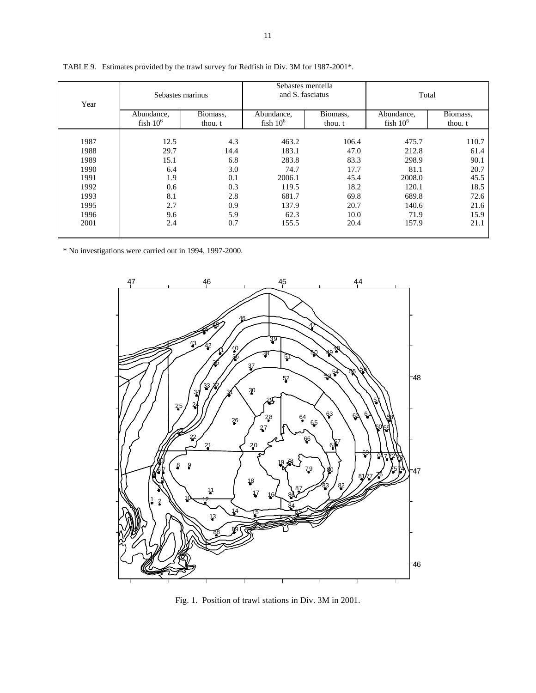| Year | Sebastes marinus         |                     | Sebastes mentella<br>and S. fasciatus |                     | Total                    |                     |  |
|------|--------------------------|---------------------|---------------------------------------|---------------------|--------------------------|---------------------|--|
|      | Abundance,<br>fish $106$ | Biomass,<br>thou. t | Abundance,<br>fish $106$              | Biomass,<br>thou. t | Abundance,<br>fish $106$ | Biomass,<br>thou. t |  |
| 1987 | 12.5                     | 4.3                 | 463.2                                 | 106.4               | 475.7                    | 110.7               |  |
| 1988 | 29.7                     | 14.4                | 183.1                                 | 47.0                | 212.8                    | 61.4                |  |
| 1989 | 15.1                     | 6.8                 | 283.8                                 | 83.3                | 298.9                    | 90.1                |  |
| 1990 | 6.4                      | 3.0                 | 74.7                                  | 17.7                | 81.1                     | 20.7                |  |
| 1991 | 1.9                      | 0.1                 | 2006.1                                | 45.4                | 2008.0                   | 45.5                |  |
| 1992 | 0.6                      | 0.3                 | 119.5                                 | 18.2                | 120.1                    | 18.5                |  |
| 1993 | 8.1                      | 2.8                 | 681.7                                 | 69.8                | 689.8                    | 72.6                |  |
| 1995 | 2.7                      | 0.9                 | 137.9                                 | 20.7                | 140.6                    | 21.6                |  |
| 1996 | 9.6                      | 5.9                 | 62.3                                  | 10.0                | 71.9                     | 15.9                |  |
| 2001 | 2.4                      | 0.7                 | 155.5                                 | 20.4                | 157.9                    | 21.1                |  |

TABLE 9. Estimates provided by the trawl survey for Redfish in Div. 3M for 1987-2001\*.

\* No investigations were carried out in 1994, 1997-2000.



Fig. 1. Position of trawl stations in Div. 3M in 2001.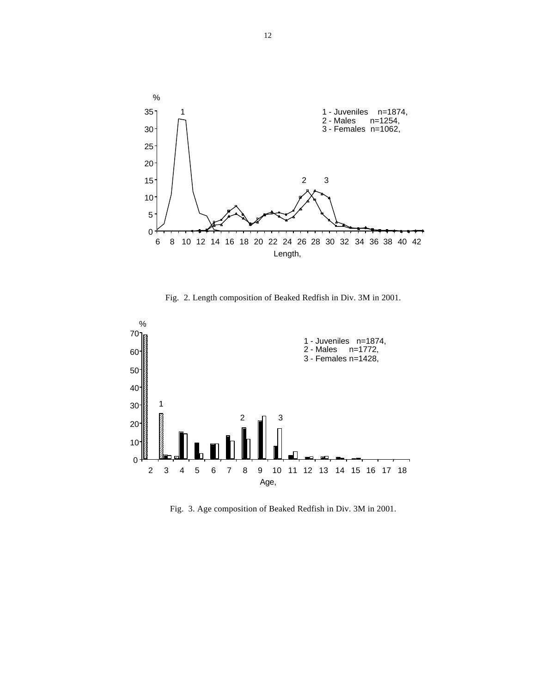

Fig. 2. Length composition of Beaked Redfish in Div. 3M in 2001.



Fig. 3. Age composition of Beaked Redfish in Div. 3M in 2001.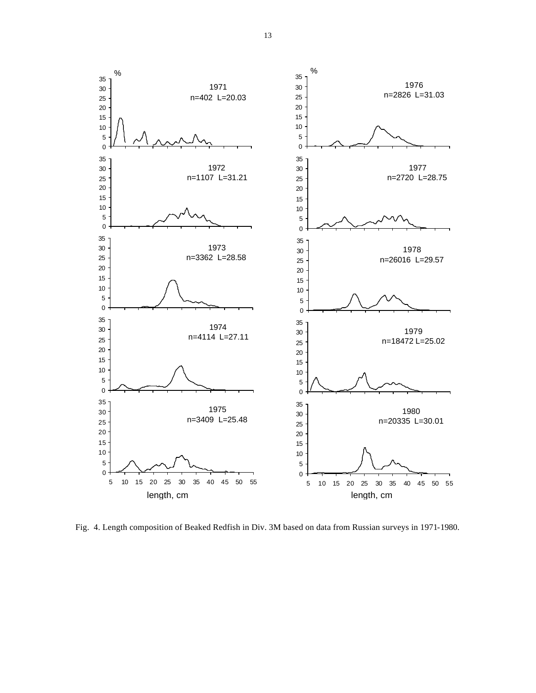

Fig. 4. Length composition of Beaked Redfish in Div. 3M based on data from Russian surveys in 1971-1980.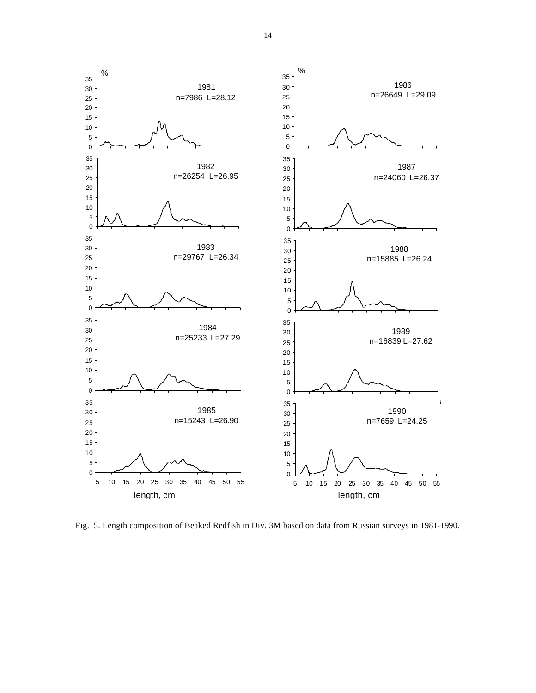

Fig. 5. Length composition of Beaked Redfish in Div. 3M based on data from Russian surveys in 1981-1990.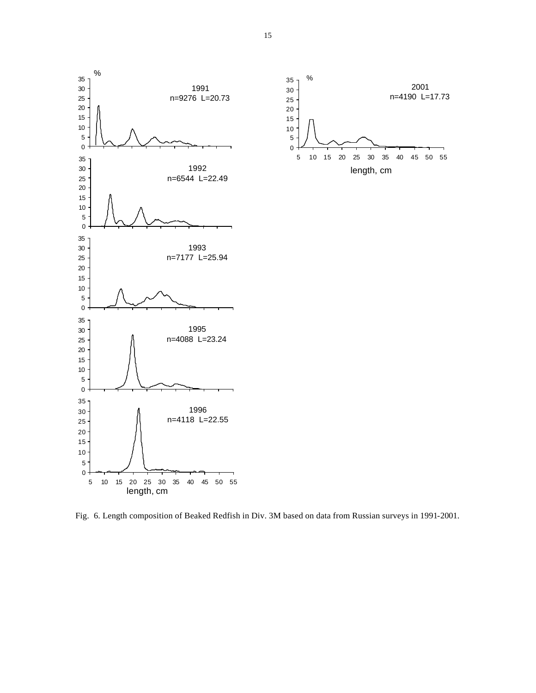



Fig. 6. Length composition of Beaked Redfish in Div. 3M based on data from Russian surveys in 1991-2001.